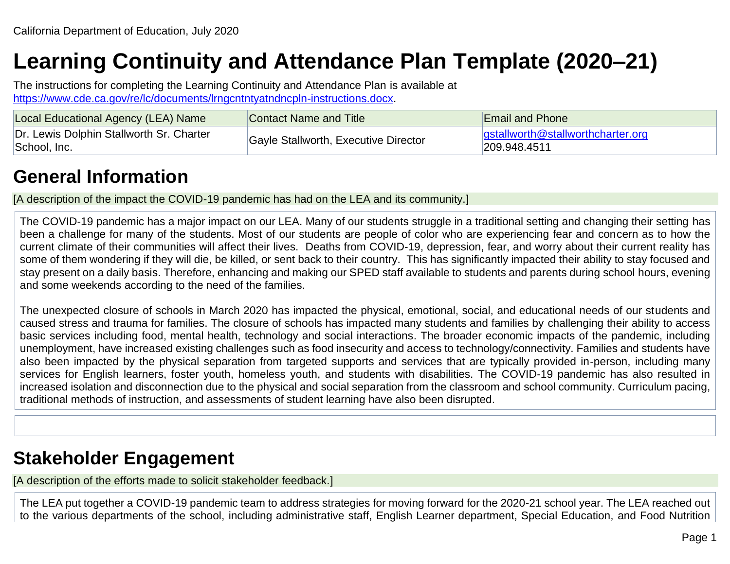# **Learning Continuity and Attendance Plan Template (2020–21)**

The instructions for completing the Learning Continuity and Attendance Plan is available at [https://www.cde.ca.gov/re/lc/documents/lrngcntntyatndncpln-instructions.docx.](https://www.cde.ca.gov/re/lc/documents/lrngcntntyatndncpln-instructions.docx)

| Local Educational Agency (LEA) Name                      | Contact Name and Title               | <b>Email and Phone</b>                                         |
|----------------------------------------------------------|--------------------------------------|----------------------------------------------------------------|
| Dr. Lewis Dolphin Stallworth Sr. Charter<br>School, Inc. | Gayle Stallworth, Executive Director | $\sqrt{g}$ gstallworth @ stallworthcharter.org<br>209.948.4511 |

## **General Information**

[A description of the impact the COVID-19 pandemic has had on the LEA and its community.]

The COVID-19 pandemic has a major impact on our LEA. Many of our students struggle in a traditional setting and changing their setting has been a challenge for many of the students. Most of our students are people of color who are experiencing fear and concern as to how the current climate of their communities will affect their lives. Deaths from COVID-19, depression, fear, and worry about their current reality has some of them wondering if they will die, be killed, or sent back to their country. This has significantly impacted their ability to stay focused and stay present on a daily basis. Therefore, enhancing and making our SPED staff available to students and parents during school hours, evening and some weekends according to the need of the families.

The unexpected closure of schools in March 2020 has impacted the physical, emotional, social, and educational needs of our students and caused stress and trauma for families. The closure of schools has impacted many students and families by challenging their ability to access basic services including food, mental health, technology and social interactions. The broader economic impacts of the pandemic, including unemployment, have increased existing challenges such as food insecurity and access to technology/connectivity. Families and students have also been impacted by the physical separation from targeted supports and services that are typically provided in-person, including many services for English learners, foster youth, homeless youth, and students with disabilities. The COVID-19 pandemic has also resulted in increased isolation and disconnection due to the physical and social separation from the classroom and school community. Curriculum pacing, traditional methods of instruction, and assessments of student learning have also been disrupted.

## **Stakeholder Engagement**

[A description of the efforts made to solicit stakeholder feedback.]

The LEA put together a COVID-19 pandemic team to address strategies for moving forward for the 2020-21 school year. The LEA reached out to the various departments of the school, including administrative staff, English Learner department, Special Education, and Food Nutrition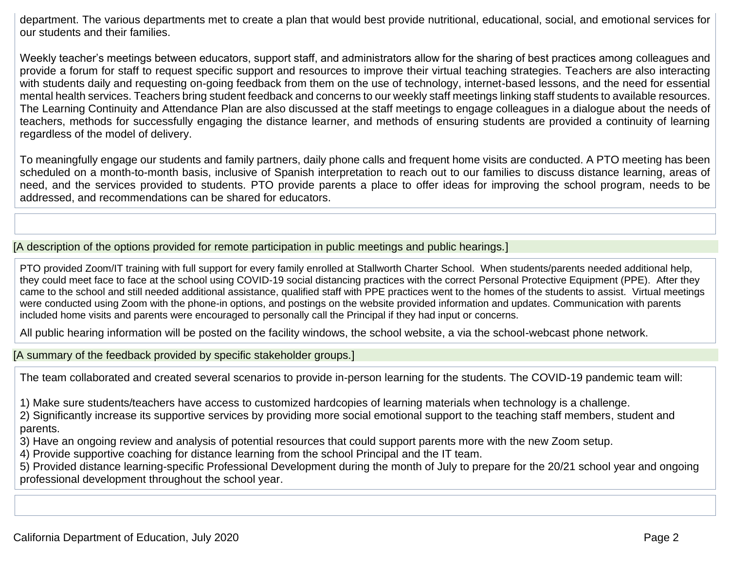department. The various departments met to create a plan that would best provide nutritional, educational, social, and emotional services for our students and their families.

Weekly teacher's meetings between educators, support staff, and administrators allow for the sharing of best practices among colleagues and provide a forum for staff to request specific support and resources to improve their virtual teaching strategies. Teachers are also interacting with students daily and requesting on-going feedback from them on the use of technology, internet-based lessons, and the need for essential mental health services. Teachers bring student feedback and concerns to our weekly staff meetings linking staff students to available resources. The Learning Continuity and Attendance Plan are also discussed at the staff meetings to engage colleagues in a dialogue about the needs of teachers, methods for successfully engaging the distance learner, and methods of ensuring students are provided a continuity of learning regardless of the model of delivery.

To meaningfully engage our students and family partners, daily phone calls and frequent home visits are conducted. A PTO meeting has been scheduled on a month-to-month basis, inclusive of Spanish interpretation to reach out to our families to discuss distance learning, areas of need, and the services provided to students. PTO provide parents a place to offer ideas for improving the school program, needs to be addressed, and recommendations can be shared for educators.

#### [A description of the options provided for remote participation in public meetings and public hearings.]

PTO provided Zoom/IT training with full support for every family enrolled at Stallworth Charter School. When students/parents needed additional help, they could meet face to face at the school using COVID-19 social distancing practices with the correct Personal Protective Equipment (PPE). After they came to the school and still needed additional assistance, qualified staff with PPE practices went to the homes of the students to assist. Virtual meetings were conducted using Zoom with the phone-in options, and postings on the website provided information and updates. Communication with parents included home visits and parents were encouraged to personally call the Principal if they had input or concerns.

All public hearing information will be posted on the facility windows, the school website, a via the school-webcast phone network.

[A summary of the feedback provided by specific stakeholder groups.]

The team collaborated and created several scenarios to provide in-person learning for the students. The COVID-19 pandemic team will:

1) Make sure students/teachers have access to customized hardcopies of learning materials when technology is a challenge.

2) Significantly increase its supportive services by providing more social emotional support to the teaching staff members, student and parents.

3) Have an ongoing review and analysis of potential resources that could support parents more with the new Zoom setup.

4) Provide supportive coaching for distance learning from the school Principal and the IT team.

5) Provided distance learning-specific Professional Development during the month of July to prepare for the 20/21 school year and ongoing professional development throughout the school year.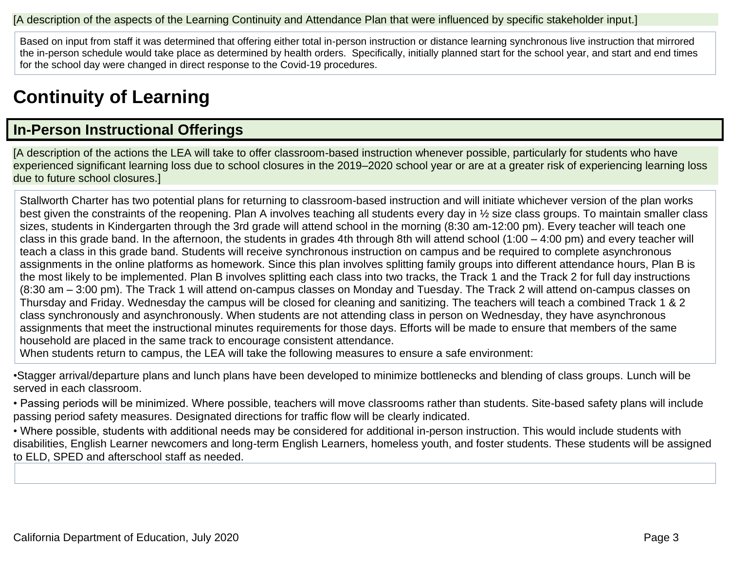#### [A description of the aspects of the Learning Continuity and Attendance Plan that were influenced by specific stakeholder input.]

Based on input from staff it was determined that offering either total in-person instruction or distance learning synchronous live instruction that mirrored the in-person schedule would take place as determined by health orders. Specifically, initially planned start for the school year, and start and end times for the school day were changed in direct response to the Covid-19 procedures.

## **Continuity of Learning**

## **In-Person Instructional Offerings**

[A description of the actions the LEA will take to offer classroom-based instruction whenever possible, particularly for students who have experienced significant learning loss due to school closures in the 2019–2020 school year or are at a greater risk of experiencing learning loss due to future school closures.]

Stallworth Charter has two potential plans for returning to classroom-based instruction and will initiate whichever version of the plan works best given the constraints of the reopening. Plan A involves teaching all students every day in ½ size class groups. To maintain smaller class sizes, students in Kindergarten through the 3rd grade will attend school in the morning (8:30 am-12:00 pm). Every teacher will teach one class in this grade band. In the afternoon, the students in grades 4th through 8th will attend school (1:00 – 4:00 pm) and every teacher will teach a class in this grade band. Students will receive synchronous instruction on campus and be required to complete asynchronous assignments in the online platforms as homework. Since this plan involves splitting family groups into different attendance hours, Plan B is the most likely to be implemented. Plan B involves splitting each class into two tracks, the Track 1 and the Track 2 for full day instructions (8:30 am – 3:00 pm). The Track 1 will attend on-campus classes on Monday and Tuesday. The Track 2 will attend on-campus classes on Thursday and Friday. Wednesday the campus will be closed for cleaning and sanitizing. The teachers will teach a combined Track 1 & 2 class synchronously and asynchronously. When students are not attending class in person on Wednesday, they have asynchronous assignments that meet the instructional minutes requirements for those days. Efforts will be made to ensure that members of the same household are placed in the same track to encourage consistent attendance.

When students return to campus, the LEA will take the following measures to ensure a safe environment:

•Stagger arrival/departure plans and lunch plans have been developed to minimize bottlenecks and blending of class groups. Lunch will be served in each classroom.

• Passing periods will be minimized. Where possible, teachers will move classrooms rather than students. Site-based safety plans will include passing period safety measures. Designated directions for traffic flow will be clearly indicated.

• Where possible, students with additional needs may be considered for additional in-person instruction. This would include students with disabilities, English Learner newcomers and long-term English Learners, homeless youth, and foster students. These students will be assigned to ELD, SPED and afterschool staff as needed.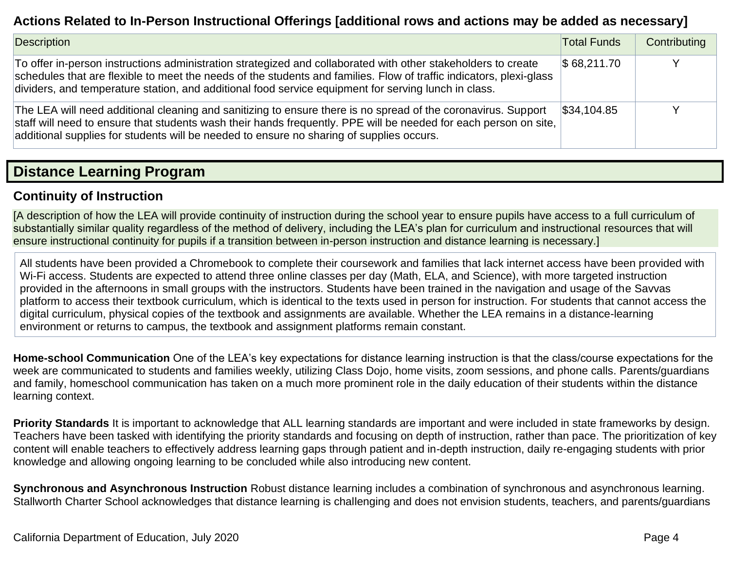### **Actions Related to In-Person Instructional Offerings [additional rows and actions may be added as necessary]**

| Description                                                                                                                                                                                                                                                                                                                                  | <b>Total Funds</b>     | Contributing |
|----------------------------------------------------------------------------------------------------------------------------------------------------------------------------------------------------------------------------------------------------------------------------------------------------------------------------------------------|------------------------|--------------|
| To offer in-person instructions administration strategized and collaborated with other stakeholders to create<br>schedules that are flexible to meet the needs of the students and families. Flow of traffic indicators, plexi-glass<br>dividers, and temperature station, and additional food service equipment for serving lunch in class. | $\$68,211.70$          |              |
| The LEA will need additional cleaning and sanitizing to ensure there is no spread of the coronavirus. Support<br>staff will need to ensure that students wash their hands frequently. PPE will be needed for each person on site,<br>additional supplies for students will be needed to ensure no sharing of supplies occurs.                | $\frac{1}{3}34,104.85$ |              |

### **Distance Learning Program**

#### **Continuity of Instruction**

[A description of how the LEA will provide continuity of instruction during the school year to ensure pupils have access to a full curriculum of substantially similar quality regardless of the method of delivery, including the LEA's plan for curriculum and instructional resources that will ensure instructional continuity for pupils if a transition between in-person instruction and distance learning is necessary.]

All students have been provided a Chromebook to complete their coursework and families that lack internet access have been provided with Wi-Fi access. Students are expected to attend three online classes per day (Math, ELA, and Science), with more targeted instruction provided in the afternoons in small groups with the instructors. Students have been trained in the navigation and usage of the Savvas platform to access their textbook curriculum, which is identical to the texts used in person for instruction. For students that cannot access the digital curriculum, physical copies of the textbook and assignments are available. Whether the LEA remains in a distance-learning environment or returns to campus, the textbook and assignment platforms remain constant.

**Home-school Communication** One of the LEA's key expectations for distance learning instruction is that the class/course expectations for the week are communicated to students and families weekly, utilizing Class Dojo, home visits, zoom sessions, and phone calls. Parents/guardians and family, homeschool communication has taken on a much more prominent role in the daily education of their students within the distance learning context.

**Priority Standards** It is important to acknowledge that ALL learning standards are important and were included in state frameworks by design. Teachers have been tasked with identifying the priority standards and focusing on depth of instruction, rather than pace. The prioritization of key content will enable teachers to effectively address learning gaps through patient and in-depth instruction, daily re-engaging students with prior knowledge and allowing ongoing learning to be concluded while also introducing new content.

**Synchronous and Asynchronous Instruction** Robust distance learning includes a combination of synchronous and asynchronous learning. Stallworth Charter School acknowledges that distance learning is challenging and does not envision students, teachers, and parents/guardians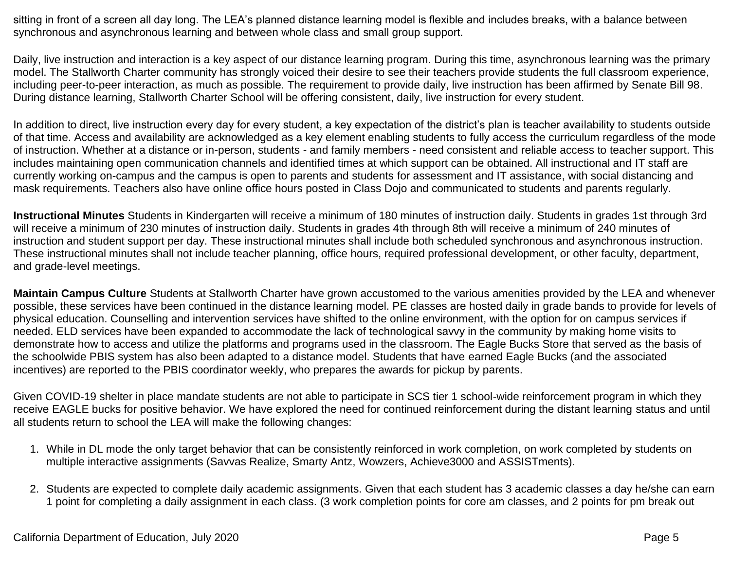sitting in front of a screen all day long. The LEA's planned distance learning model is flexible and includes breaks, with a balance between synchronous and asynchronous learning and between whole class and small group support.

Daily, live instruction and interaction is a key aspect of our distance learning program. During this time, asynchronous learning was the primary model. The Stallworth Charter community has strongly voiced their desire to see their teachers provide students the full classroom experience, including peer-to-peer interaction, as much as possible. The requirement to provide daily, live instruction has been affirmed by Senate Bill 98. During distance learning, Stallworth Charter School will be offering consistent, daily, live instruction for every student.

In addition to direct, live instruction every day for every student, a key expectation of the district's plan is teacher availability to students outside of that time. Access and availability are acknowledged as a key element enabling students to fully access the curriculum regardless of the mode of instruction. Whether at a distance or in-person, students - and family members - need consistent and reliable access to teacher support. This includes maintaining open communication channels and identified times at which support can be obtained. All instructional and IT staff are currently working on-campus and the campus is open to parents and students for assessment and IT assistance, with social distancing and mask requirements. Teachers also have online office hours posted in Class Dojo and communicated to students and parents regularly.

**Instructional Minutes** Students in Kindergarten will receive a minimum of 180 minutes of instruction daily. Students in grades 1st through 3rd will receive a minimum of 230 minutes of instruction daily. Students in grades 4th through 8th will receive a minimum of 240 minutes of instruction and student support per day. These instructional minutes shall include both scheduled synchronous and asynchronous instruction. These instructional minutes shall not include teacher planning, office hours, required professional development, or other faculty, department, and grade-level meetings.

**Maintain Campus Culture** Students at Stallworth Charter have grown accustomed to the various amenities provided by the LEA and whenever possible, these services have been continued in the distance learning model. PE classes are hosted daily in grade bands to provide for levels of physical education. Counselling and intervention services have shifted to the online environment, with the option for on campus services if needed. ELD services have been expanded to accommodate the lack of technological savvy in the community by making home visits to demonstrate how to access and utilize the platforms and programs used in the classroom. The Eagle Bucks Store that served as the basis of the schoolwide PBIS system has also been adapted to a distance model. Students that have earned Eagle Bucks (and the associated incentives) are reported to the PBIS coordinator weekly, who prepares the awards for pickup by parents.

Given COVID-19 shelter in place mandate students are not able to participate in SCS tier 1 school-wide reinforcement program in which they receive EAGLE bucks for positive behavior. We have explored the need for continued reinforcement during the distant learning status and until all students return to school the LEA will make the following changes:

- 1. While in DL mode the only target behavior that can be consistently reinforced in work completion, on work completed by students on multiple interactive assignments (Savvas Realize, Smarty Antz, Wowzers, Achieve3000 and ASSISTments).
- 2. Students are expected to complete daily academic assignments. Given that each student has 3 academic classes a day he/she can earn 1 point for completing a daily assignment in each class. (3 work completion points for core am classes, and 2 points for pm break out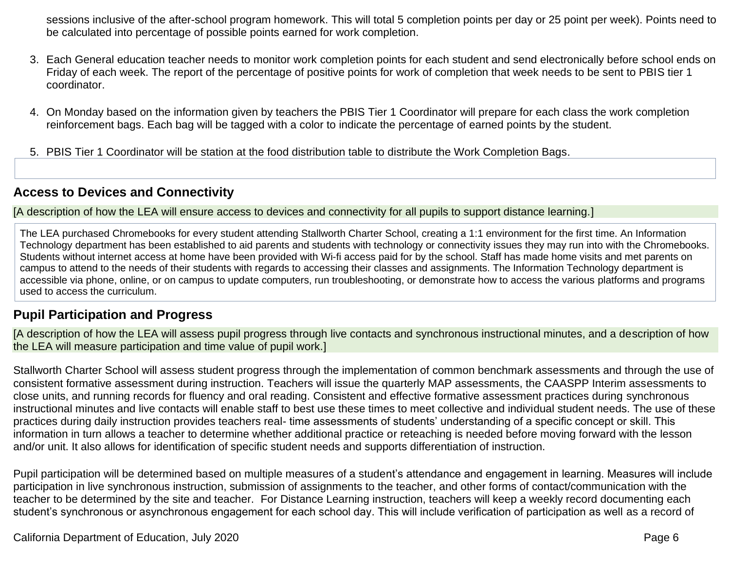sessions inclusive of the after-school program homework. This will total 5 completion points per day or 25 point per week). Points need to be calculated into percentage of possible points earned for work completion.

- 3. Each General education teacher needs to monitor work completion points for each student and send electronically before school ends on Friday of each week. The report of the percentage of positive points for work of completion that week needs to be sent to PBIS tier 1 coordinator.
- 4. On Monday based on the information given by teachers the PBIS Tier 1 Coordinator will prepare for each class the work completion reinforcement bags. Each bag will be tagged with a color to indicate the percentage of earned points by the student.
- 5. PBIS Tier 1 Coordinator will be station at the food distribution table to distribute the Work Completion Bags.

### **Access to Devices and Connectivity**

[A description of how the LEA will ensure access to devices and connectivity for all pupils to support distance learning.]

The LEA purchased Chromebooks for every student attending Stallworth Charter School, creating a 1:1 environment for the first time. An Information Technology department has been established to aid parents and students with technology or connectivity issues they may run into with the Chromebooks. Students without internet access at home have been provided with Wi-fi access paid for by the school. Staff has made home visits and met parents on campus to attend to the needs of their students with regards to accessing their classes and assignments. The Information Technology department is accessible via phone, online, or on campus to update computers, run troubleshooting, or demonstrate how to access the various platforms and programs used to access the curriculum.

### **Pupil Participation and Progress**

[A description of how the LEA will assess pupil progress through live contacts and synchronous instructional minutes, and a description of how the LEA will measure participation and time value of pupil work.]

Stallworth Charter School will assess student progress through the implementation of common benchmark assessments and through the use of consistent formative assessment during instruction. Teachers will issue the quarterly MAP assessments, the CAASPP Interim assessments to close units, and running records for fluency and oral reading. Consistent and effective formative assessment practices during synchronous instructional minutes and live contacts will enable staff to best use these times to meet collective and individual student needs. The use of these practices during daily instruction provides teachers real- time assessments of students' understanding of a specific concept or skill. This information in turn allows a teacher to determine whether additional practice or reteaching is needed before moving forward with the lesson and/or unit. It also allows for identification of specific student needs and supports differentiation of instruction.

Pupil participation will be determined based on multiple measures of a student's attendance and engagement in learning. Measures will include participation in live synchronous instruction, submission of assignments to the teacher, and other forms of contact/communication with the teacher to be determined by the site and teacher. For Distance Learning instruction, teachers will keep a weekly record documenting each student's synchronous or asynchronous engagement for each school day. This will include verification of participation as well as a record of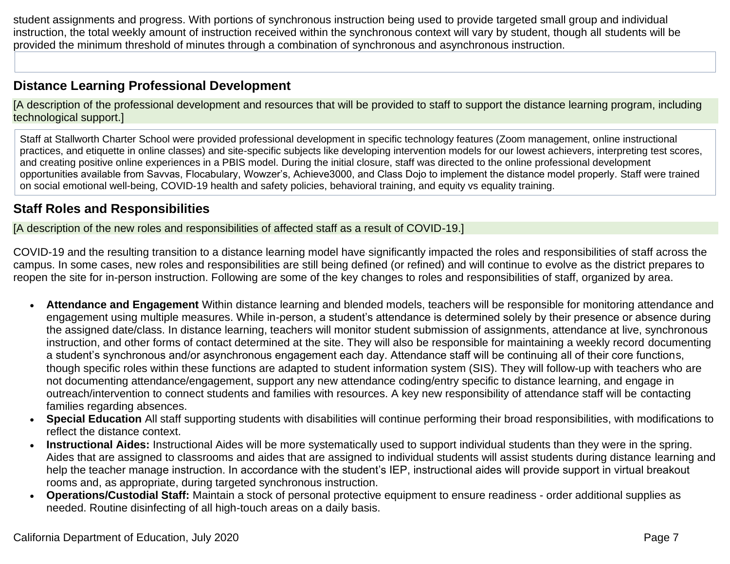student assignments and progress. With portions of synchronous instruction being used to provide targeted small group and individual instruction, the total weekly amount of instruction received within the synchronous context will vary by student, though all students will be provided the minimum threshold of minutes through a combination of synchronous and asynchronous instruction.

### **Distance Learning Professional Development**

[A description of the professional development and resources that will be provided to staff to support the distance learning program, including technological support.]

Staff at Stallworth Charter School were provided professional development in specific technology features (Zoom management, online instructional practices, and etiquette in online classes) and site-specific subjects like developing intervention models for our lowest achievers, interpreting test scores, and creating positive online experiences in a PBIS model. During the initial closure, staff was directed to the online professional development opportunities available from Savvas, Flocabulary, Wowzer's, Achieve3000, and Class Dojo to implement the distance model properly. Staff were trained on social emotional well-being, COVID-19 health and safety policies, behavioral training, and equity vs equality training.

### **Staff Roles and Responsibilities**

[A description of the new roles and responsibilities of affected staff as a result of COVID-19.]

COVID-19 and the resulting transition to a distance learning model have significantly impacted the roles and responsibilities of staff across the campus. In some cases, new roles and responsibilities are still being defined (or refined) and will continue to evolve as the district prepares to reopen the site for in-person instruction. Following are some of the key changes to roles and responsibilities of staff, organized by area.

- **Attendance and Engagement** Within distance learning and blended models, teachers will be responsible for monitoring attendance and engagement using multiple measures. While in-person, a student's attendance is determined solely by their presence or absence during the assigned date/class. In distance learning, teachers will monitor student submission of assignments, attendance at live, synchronous instruction, and other forms of contact determined at the site. They will also be responsible for maintaining a weekly record documenting a student's synchronous and/or asynchronous engagement each day. Attendance staff will be continuing all of their core functions, though specific roles within these functions are adapted to student information system (SIS). They will follow-up with teachers who are not documenting attendance/engagement, support any new attendance coding/entry specific to distance learning, and engage in outreach/intervention to connect students and families with resources. A key new responsibility of attendance staff will be contacting families regarding absences.
- **Special Education** All staff supporting students with disabilities will continue performing their broad responsibilities, with modifications to reflect the distance context.
- **Instructional Aides:** Instructional Aides will be more systematically used to support individual students than they were in the spring. Aides that are assigned to classrooms and aides that are assigned to individual students will assist students during distance learning and help the teacher manage instruction. In accordance with the student's IEP, instructional aides will provide support in virtual breakout rooms and, as appropriate, during targeted synchronous instruction.
- **Operations/Custodial Staff:** Maintain a stock of personal protective equipment to ensure readiness order additional supplies as needed. Routine disinfecting of all high-touch areas on a daily basis.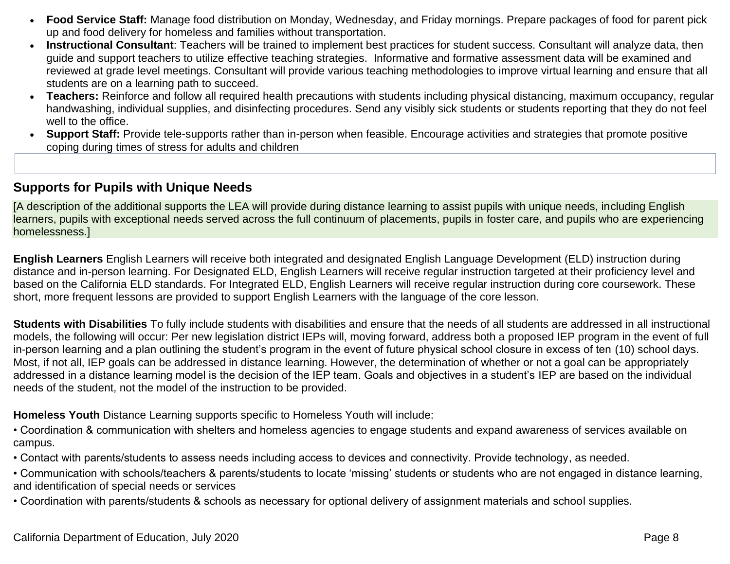- **Food Service Staff:** Manage food distribution on Monday, Wednesday, and Friday mornings. Prepare packages of food for parent pick up and food delivery for homeless and families without transportation.
- **Instructional Consultant**: Teachers will be trained to implement best practices for student success. Consultant will analyze data, then guide and support teachers to utilize effective teaching strategies. Informative and formative assessment data will be examined and reviewed at grade level meetings. Consultant will provide various teaching methodologies to improve virtual learning and ensure that all students are on a learning path to succeed.
- **Teachers:** Reinforce and follow all required health precautions with students including physical distancing, maximum occupancy, regular handwashing, individual supplies, and disinfecting procedures. Send any visibly sick students or students reporting that they do not feel well to the office.
- **Support Staff:** Provide tele-supports rather than in-person when feasible. Encourage activities and strategies that promote positive coping during times of stress for adults and children

#### **Supports for Pupils with Unique Needs**

[A description of the additional supports the LEA will provide during distance learning to assist pupils with unique needs, including English learners, pupils with exceptional needs served across the full continuum of placements, pupils in foster care, and pupils who are experiencing homelessness.]

**English Learners** English Learners will receive both integrated and designated English Language Development (ELD) instruction during distance and in-person learning. For Designated ELD, English Learners will receive regular instruction targeted at their proficiency level and based on the California ELD standards. For Integrated ELD, English Learners will receive regular instruction during core coursework. These short, more frequent lessons are provided to support English Learners with the language of the core lesson.

**Students with Disabilities** To fully include students with disabilities and ensure that the needs of all students are addressed in all instructional models, the following will occur: Per new legislation district IEPs will, moving forward, address both a proposed IEP program in the event of full in-person learning and a plan outlining the student's program in the event of future physical school closure in excess of ten (10) school days. Most, if not all, IEP goals can be addressed in distance learning. However, the determination of whether or not a goal can be appropriately addressed in a distance learning model is the decision of the IEP team. Goals and objectives in a student's IEP are based on the individual needs of the student, not the model of the instruction to be provided.

**Homeless Youth** Distance Learning supports specific to Homeless Youth will include:

• Coordination & communication with shelters and homeless agencies to engage students and expand awareness of services available on campus.

• Contact with parents/students to assess needs including access to devices and connectivity. Provide technology, as needed.

• Communication with schools/teachers & parents/students to locate 'missing' students or students who are not engaged in distance learning, and identification of special needs or services

• Coordination with parents/students & schools as necessary for optional delivery of assignment materials and school supplies.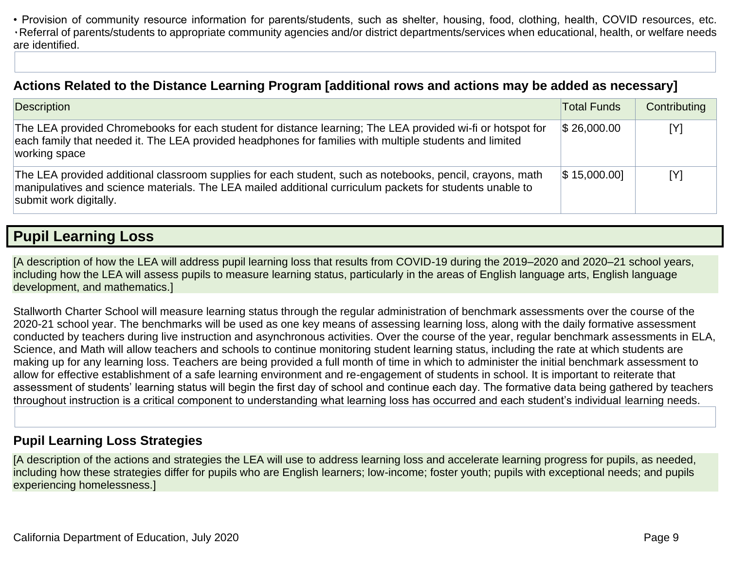• Provision of community resource information for parents/students, such as shelter, housing, food, clothing, health, COVID resources, etc. ٠Referral of parents/students to appropriate community agencies and/or district departments/services when educational, health, or welfare needs are identified.

### **Actions Related to the Distance Learning Program [additional rows and actions may be added as necessary]**

| <b>Description</b>                                                                                                                                                                                                                              | <b>Total Funds</b> | Contributing |
|-------------------------------------------------------------------------------------------------------------------------------------------------------------------------------------------------------------------------------------------------|--------------------|--------------|
| The LEA provided Chromebooks for each student for distance learning; The LEA provided wi-fi or hotspot for<br>each family that needed it. The LEA provided headphones for families with multiple students and limited<br>working space          | $\$\,26,000.00$    | [Y]          |
| The LEA provided additional classroom supplies for each student, such as notebooks, pencil, crayons, math<br>manipulatives and science materials. The LEA mailed additional curriculum packets for students unable to<br>submit work digitally. | $\$\,15,000.00]$   | [Y]          |

## **Pupil Learning Loss**

[A description of how the LEA will address pupil learning loss that results from COVID-19 during the 2019–2020 and 2020–21 school years, including how the LEA will assess pupils to measure learning status, particularly in the areas of English language arts, English language development, and mathematics.]

Stallworth Charter School will measure learning status through the regular administration of benchmark assessments over the course of the 2020-21 school year. The benchmarks will be used as one key means of assessing learning loss, along with the daily formative assessment conducted by teachers during live instruction and asynchronous activities. Over the course of the year, regular benchmark assessments in ELA, Science, and Math will allow teachers and schools to continue monitoring student learning status, including the rate at which students are making up for any learning loss. Teachers are being provided a full month of time in which to administer the initial benchmark assessment to allow for effective establishment of a safe learning environment and re-engagement of students in school. It is important to reiterate that assessment of students' learning status will begin the first day of school and continue each day. The formative data being gathered by teachers throughout instruction is a critical component to understanding what learning loss has occurred and each student's individual learning needs.

#### **Pupil Learning Loss Strategies**

[A description of the actions and strategies the LEA will use to address learning loss and accelerate learning progress for pupils, as needed, including how these strategies differ for pupils who are English learners; low-income; foster youth; pupils with exceptional needs; and pupils experiencing homelessness.]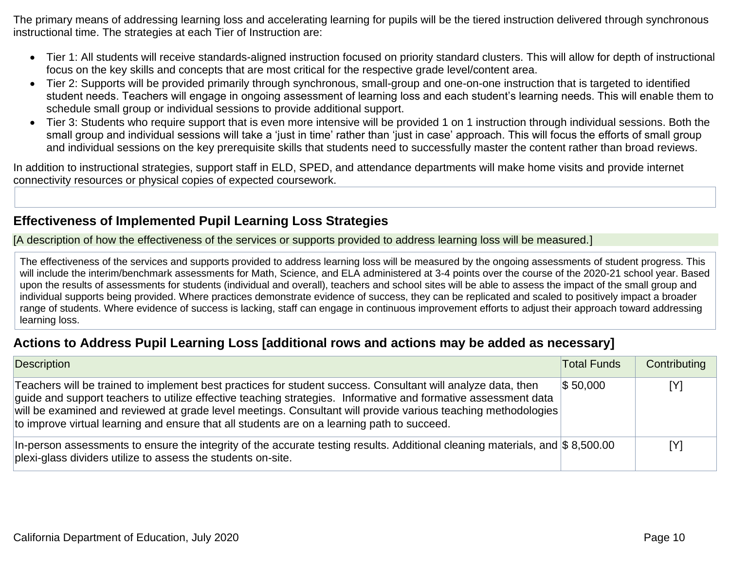The primary means of addressing learning loss and accelerating learning for pupils will be the tiered instruction delivered through synchronous instructional time. The strategies at each Tier of Instruction are:

- Tier 1: All students will receive standards-aligned instruction focused on priority standard clusters. This will allow for depth of instructional focus on the key skills and concepts that are most critical for the respective grade level/content area.
- Tier 2: Supports will be provided primarily through synchronous, small-group and one-on-one instruction that is targeted to identified student needs. Teachers will engage in ongoing assessment of learning loss and each student's learning needs. This will enable them to schedule small group or individual sessions to provide additional support.
- Tier 3: Students who require support that is even more intensive will be provided 1 on 1 instruction through individual sessions. Both the small group and individual sessions will take a 'just in time' rather than 'just in case' approach. This will focus the efforts of small group and individual sessions on the key prerequisite skills that students need to successfully master the content rather than broad reviews.

In addition to instructional strategies, support staff in ELD, SPED, and attendance departments will make home visits and provide internet connectivity resources or physical copies of expected coursework.

### **Effectiveness of Implemented Pupil Learning Loss Strategies**

[A description of how the effectiveness of the services or supports provided to address learning loss will be measured.]

The effectiveness of the services and supports provided to address learning loss will be measured by the ongoing assessments of student progress. This will include the interim/benchmark assessments for Math, Science, and ELA administered at 3-4 points over the course of the 2020-21 school year. Based upon the results of assessments for students (individual and overall), teachers and school sites will be able to assess the impact of the small group and individual supports being provided. Where practices demonstrate evidence of success, they can be replicated and scaled to positively impact a broader range of students. Where evidence of success is lacking, staff can engage in continuous improvement efforts to adjust their approach toward addressing learning loss.

### **Actions to Address Pupil Learning Loss [additional rows and actions may be added as necessary]**

| Description                                                                                                                                                                                                                                                                                                                                                                                                                                    | <b>Total Funds</b> | Contributing |
|------------------------------------------------------------------------------------------------------------------------------------------------------------------------------------------------------------------------------------------------------------------------------------------------------------------------------------------------------------------------------------------------------------------------------------------------|--------------------|--------------|
| Teachers will be trained to implement best practices for student success. Consultant will analyze data, then<br>guide and support teachers to utilize effective teaching strategies. Informative and formative assessment data<br>will be examined and reviewed at grade level meetings. Consultant will provide various teaching methodologies<br>to improve virtual learning and ensure that all students are on a learning path to succeed. | $\$ 50,000$        | [Y]          |
| In-person assessments to ensure the integrity of the accurate testing results. Additional cleaning materials, and \$8,500.00<br>plexi-glass dividers utilize to assess the students on-site.                                                                                                                                                                                                                                                   |                    | [Y]          |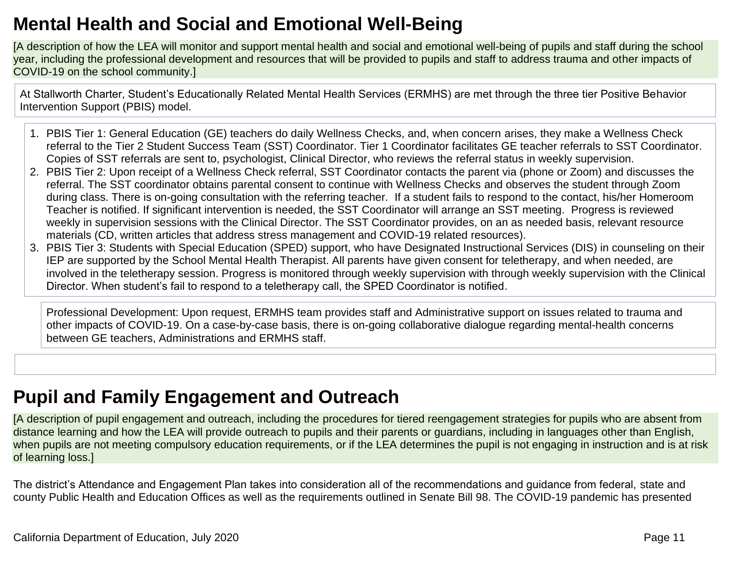## **Mental Health and Social and Emotional Well-Being**

[A description of how the LEA will monitor and support mental health and social and emotional well-being of pupils and staff during the school year, including the professional development and resources that will be provided to pupils and staff to address trauma and other impacts of COVID-19 on the school community.]

At Stallworth Charter, Student's Educationally Related Mental Health Services (ERMHS) are met through the three tier Positive Behavior Intervention Support (PBIS) model.

- 1. PBIS Tier 1: General Education (GE) teachers do daily Wellness Checks, and, when concern arises, they make a Wellness Check referral to the Tier 2 Student Success Team (SST) Coordinator. Tier 1 Coordinator facilitates GE teacher referrals to SST Coordinator. Copies of SST referrals are sent to, psychologist, Clinical Director, who reviews the referral status in weekly supervision.
- 2. PBIS Tier 2: Upon receipt of a Wellness Check referral, SST Coordinator contacts the parent via (phone or Zoom) and discusses the referral. The SST coordinator obtains parental consent to continue with Wellness Checks and observes the student through Zoom during class. There is on-going consultation with the referring teacher. If a student fails to respond to the contact, his/her Homeroom Teacher is notified. If significant intervention is needed, the SST Coordinator will arrange an SST meeting. Progress is reviewed weekly in supervision sessions with the Clinical Director. The SST Coordinator provides, on an as needed basis, relevant resource materials (CD, written articles that address stress management and COVID-19 related resources).
- 3. PBIS Tier 3: Students with Special Education (SPED) support, who have Designated Instructional Services (DIS) in counseling on their IEP are supported by the School Mental Health Therapist. All parents have given consent for teletherapy, and when needed, are involved in the teletherapy session. Progress is monitored through weekly supervision with through weekly supervision with the Clinical Director. When student's fail to respond to a teletherapy call, the SPED Coordinator is notified.

Professional Development: Upon request, ERMHS team provides staff and Administrative support on issues related to trauma and other impacts of COVID-19. On a case-by-case basis, there is on-going collaborative dialogue regarding mental-health concerns between GE teachers, Administrations and ERMHS staff.

## **Pupil and Family Engagement and Outreach**

[A description of pupil engagement and outreach, including the procedures for tiered reengagement strategies for pupils who are absent from distance learning and how the LEA will provide outreach to pupils and their parents or guardians, including in languages other than English, when pupils are not meeting compulsory education requirements, or if the LEA determines the pupil is not engaging in instruction and is at risk of learning loss.]

The district's Attendance and Engagement Plan takes into consideration all of the recommendations and guidance from federal, state and county Public Health and Education Offices as well as the requirements outlined in Senate Bill 98. The COVID-19 pandemic has presented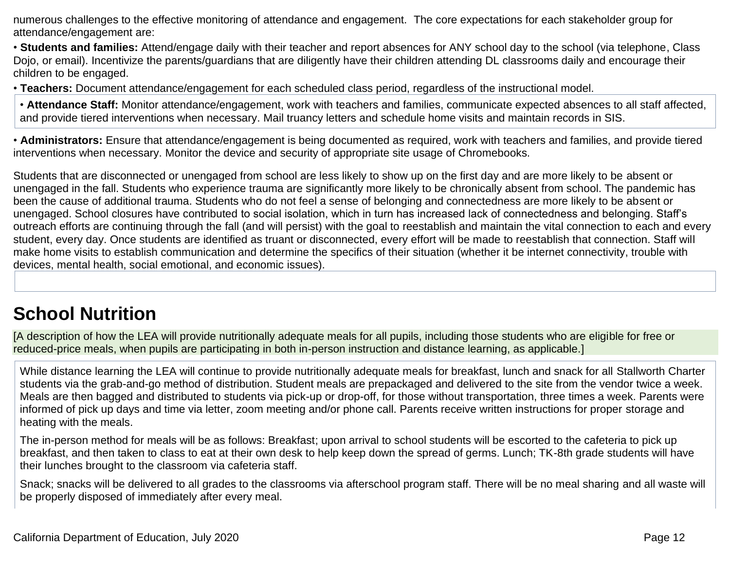numerous challenges to the effective monitoring of attendance and engagement. The core expectations for each stakeholder group for attendance/engagement are:

• **Students and families:** Attend/engage daily with their teacher and report absences for ANY school day to the school (via telephone, Class Dojo, or email). Incentivize the parents/guardians that are diligently have their children attending DL classrooms daily and encourage their children to be engaged.

• **Teachers:** Document attendance/engagement for each scheduled class period, regardless of the instructional model.

• **Attendance Staff:** Monitor attendance/engagement, work with teachers and families, communicate expected absences to all staff affected, and provide tiered interventions when necessary. Mail truancy letters and schedule home visits and maintain records in SIS.

• **Administrators:** Ensure that attendance/engagement is being documented as required, work with teachers and families, and provide tiered interventions when necessary. Monitor the device and security of appropriate site usage of Chromebooks.

Students that are disconnected or unengaged from school are less likely to show up on the first day and are more likely to be absent or unengaged in the fall. Students who experience trauma are significantly more likely to be chronically absent from school. The pandemic has been the cause of additional trauma. Students who do not feel a sense of belonging and connectedness are more likely to be absent or unengaged. School closures have contributed to social isolation, which in turn has increased lack of connectedness and belonging. Staff's outreach efforts are continuing through the fall (and will persist) with the goal to reestablish and maintain the vital connection to each and every student, every day. Once students are identified as truant or disconnected, every effort will be made to reestablish that connection. Staff will make home visits to establish communication and determine the specifics of their situation (whether it be internet connectivity, trouble with devices, mental health, social emotional, and economic issues).

## **School Nutrition**

[A description of how the LEA will provide nutritionally adequate meals for all pupils, including those students who are eligible for free or reduced-price meals, when pupils are participating in both in-person instruction and distance learning, as applicable.]

While distance learning the LEA will continue to provide nutritionally adequate meals for breakfast, lunch and snack for all Stallworth Charter students via the grab-and-go method of distribution. Student meals are prepackaged and delivered to the site from the vendor twice a week. Meals are then bagged and distributed to students via pick-up or drop-off, for those without transportation, three times a week. Parents were informed of pick up days and time via letter, zoom meeting and/or phone call. Parents receive written instructions for proper storage and heating with the meals.

The in-person method for meals will be as follows: Breakfast; upon arrival to school students will be escorted to the cafeteria to pick up breakfast, and then taken to class to eat at their own desk to help keep down the spread of germs. Lunch; TK-8th grade students will have their lunches brought to the classroom via cafeteria staff.

Snack; snacks will be delivered to all grades to the classrooms via afterschool program staff. There will be no meal sharing and all waste will be properly disposed of immediately after every meal.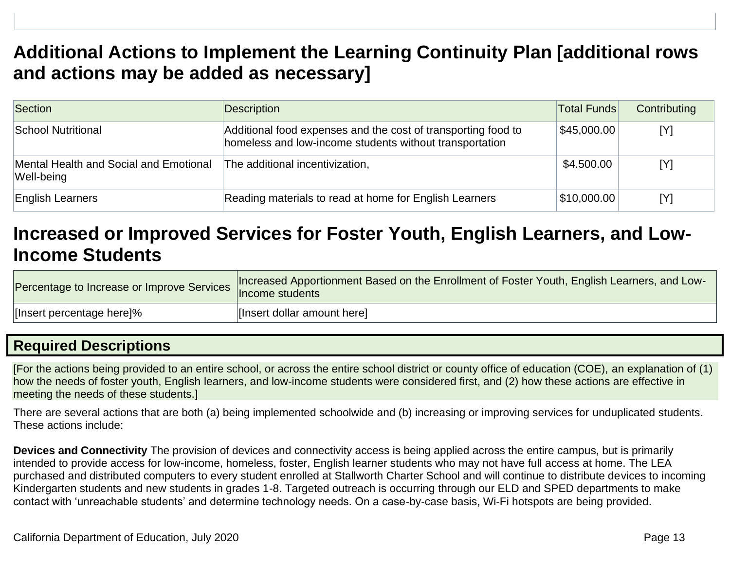## **Additional Actions to Implement the Learning Continuity Plan [additional rows and actions may be added as necessary]**

| Section                                              | <b>Description</b>                                                                                                       | <b>Total Funds</b> | Contributing |
|------------------------------------------------------|--------------------------------------------------------------------------------------------------------------------------|--------------------|--------------|
| School Nutritional                                   | Additional food expenses and the cost of transporting food to<br>homeless and low-income students without transportation | \$45,000.00        | [Y]          |
| Mental Health and Social and Emotional<br>Well-being | The additional incentivization,                                                                                          | \$4.500.00         | [Y]          |
| <b>English Learners</b>                              | Reading materials to read at home for English Learners                                                                   | \$10,000.00        | [Y]          |

## **Increased or Improved Services for Foster Youth, English Learners, and Low-Income Students**

| Percentage to Increase or Improve Services | Increased Apportionment Based on the Enrollment of Foster Youth, English Learners, and Low-<br>Income students |
|--------------------------------------------|----------------------------------------------------------------------------------------------------------------|
| [Insert percentage here]%                  | [Insert dollar amount here]                                                                                    |

### **Required Descriptions**

[For the actions being provided to an entire school, or across the entire school district or county office of education (COE), an explanation of (1) how the needs of foster youth, English learners, and low-income students were considered first, and (2) how these actions are effective in meeting the needs of these students.]

There are several actions that are both (a) being implemented schoolwide and (b) increasing or improving services for unduplicated students. These actions include:

**Devices and Connectivity** The provision of devices and connectivity access is being applied across the entire campus, but is primarily intended to provide access for low-income, homeless, foster, English learner students who may not have full access at home. The LEA purchased and distributed computers to every student enrolled at Stallworth Charter School and will continue to distribute devices to incoming Kindergarten students and new students in grades 1-8. Targeted outreach is occurring through our ELD and SPED departments to make contact with 'unreachable students' and determine technology needs. On a case-by-case basis, Wi-Fi hotspots are being provided.